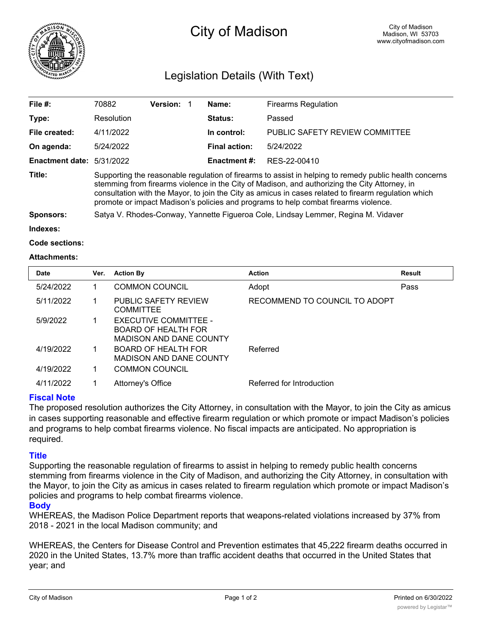

# City of Madison

# Legislation Details (With Text)

| File $#$ :             | 70882                                                                                                                                                                                                                                                                                                                                                                                                  | <b>Version:</b> |  | Name:                | <b>Firearms Regulation</b>     |  |  |
|------------------------|--------------------------------------------------------------------------------------------------------------------------------------------------------------------------------------------------------------------------------------------------------------------------------------------------------------------------------------------------------------------------------------------------------|-----------------|--|----------------------|--------------------------------|--|--|
| Type:                  | Resolution                                                                                                                                                                                                                                                                                                                                                                                             |                 |  | Status:              | Passed                         |  |  |
| File created:          | 4/11/2022                                                                                                                                                                                                                                                                                                                                                                                              |                 |  | In control:          | PUBLIC SAFETY REVIEW COMMITTEE |  |  |
| On agenda:             | 5/24/2022                                                                                                                                                                                                                                                                                                                                                                                              |                 |  | <b>Final action:</b> | 5/24/2022                      |  |  |
| <b>Enactment date:</b> | 5/31/2022                                                                                                                                                                                                                                                                                                                                                                                              |                 |  | <b>Enactment #:</b>  | RES-22-00410                   |  |  |
| Title:                 | Supporting the reasonable regulation of firearms to assist in helping to remedy public health concerns<br>stemming from firearms violence in the City of Madison, and authorizing the City Attorney, in<br>consultation with the Mayor, to join the City as amicus in cases related to firearm regulation which<br>promote or impact Madison's policies and programs to help combat firearms violence. |                 |  |                      |                                |  |  |
| <b>Sponsors:</b>       | Satya V. Rhodes-Conway, Yannette Figueroa Cole, Lindsay Lemmer, Regina M. Vidaver                                                                                                                                                                                                                                                                                                                      |                 |  |                      |                                |  |  |
| Indexes:               |                                                                                                                                                                                                                                                                                                                                                                                                        |                 |  |                      |                                |  |  |

```
Code sections:
```
#### **Attachments:**

| <b>Date</b> | Ver. | <b>Action By</b>                                                                      | <b>Action</b>                 | <b>Result</b> |
|-------------|------|---------------------------------------------------------------------------------------|-------------------------------|---------------|
| 5/24/2022   |      | <b>COMMON COUNCIL</b>                                                                 | Adopt                         | Pass          |
| 5/11/2022   |      | <b>PUBLIC SAFETY REVIEW</b><br><b>COMMITTEE</b>                                       | RECOMMEND TO COUNCIL TO ADOPT |               |
| 5/9/2022    |      | EXECUTIVE COMMITTEE -<br><b>BOARD OF HEALTH FOR</b><br><b>MADISON AND DANE COUNTY</b> |                               |               |
| 4/19/2022   |      | <b>BOARD OF HEALTH FOR</b><br><b>MADISON AND DANE COUNTY</b>                          | Referred                      |               |
| 4/19/2022   |      | <b>COMMON COUNCIL</b>                                                                 |                               |               |
| 4/11/2022   |      | Attorney's Office                                                                     | Referred for Introduction     |               |

### **Fiscal Note**

The proposed resolution authorizes the City Attorney, in consultation with the Mayor, to join the City as amicus in cases supporting reasonable and effective firearm regulation or which promote or impact Madison's policies and programs to help combat firearms violence. No fiscal impacts are anticipated. No appropriation is required.

## **Title**

Supporting the reasonable regulation of firearms to assist in helping to remedy public health concerns stemming from firearms violence in the City of Madison, and authorizing the City Attorney, in consultation with the Mayor, to join the City as amicus in cases related to firearm regulation which promote or impact Madison's policies and programs to help combat firearms violence.

### **Body**

WHEREAS, the Madison Police Department reports that weapons-related violations increased by 37% from 2018 - 2021 in the local Madison community; and

WHEREAS, the Centers for Disease Control and Prevention estimates that 45,222 firearm deaths occurred in 2020 in the United States, 13.7% more than traffic accident deaths that occurred in the United States that year; and